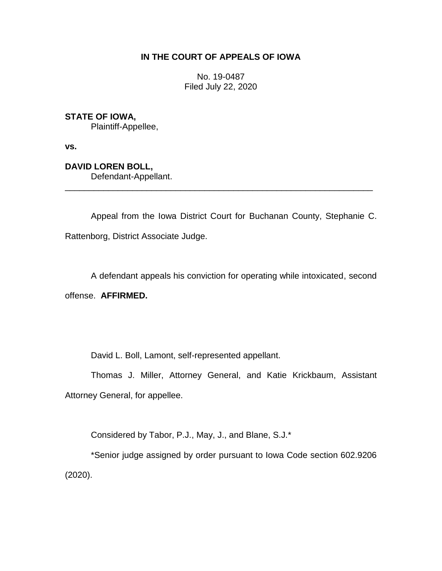## **IN THE COURT OF APPEALS OF IOWA**

No. 19-0487 Filed July 22, 2020

## **STATE OF IOWA,**

Plaintiff-Appellee,

**vs.**

**DAVID LOREN BOLL,**

Defendant-Appellant.

Appeal from the Iowa District Court for Buchanan County, Stephanie C. Rattenborg, District Associate Judge.

\_\_\_\_\_\_\_\_\_\_\_\_\_\_\_\_\_\_\_\_\_\_\_\_\_\_\_\_\_\_\_\_\_\_\_\_\_\_\_\_\_\_\_\_\_\_\_\_\_\_\_\_\_\_\_\_\_\_\_\_\_\_\_\_

A defendant appeals his conviction for operating while intoxicated, second

offense. **AFFIRMED.**

David L. Boll, Lamont, self-represented appellant.

Thomas J. Miller, Attorney General, and Katie Krickbaum, Assistant Attorney General, for appellee.

Considered by Tabor, P.J., May, J., and Blane, S.J.\*

\*Senior judge assigned by order pursuant to Iowa Code section 602.9206 (2020).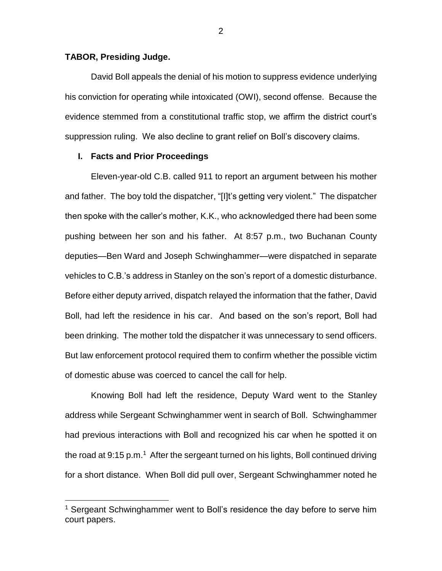### **TABOR, Presiding Judge.**

 $\overline{a}$ 

David Boll appeals the denial of his motion to suppress evidence underlying his conviction for operating while intoxicated (OWI), second offense. Because the evidence stemmed from a constitutional traffic stop, we affirm the district court's suppression ruling. We also decline to grant relief on Boll's discovery claims.

#### **I. Facts and Prior Proceedings**

Eleven-year-old C.B. called 911 to report an argument between his mother and father. The boy told the dispatcher, "[I]t's getting very violent." The dispatcher then spoke with the caller's mother, K.K., who acknowledged there had been some pushing between her son and his father. At 8:57 p.m., two Buchanan County deputies—Ben Ward and Joseph Schwinghammer—were dispatched in separate vehicles to C.B.'s address in Stanley on the son's report of a domestic disturbance. Before either deputy arrived, dispatch relayed the information that the father, David Boll, had left the residence in his car. And based on the son's report, Boll had been drinking. The mother told the dispatcher it was unnecessary to send officers. But law enforcement protocol required them to confirm whether the possible victim of domestic abuse was coerced to cancel the call for help.

Knowing Boll had left the residence, Deputy Ward went to the Stanley address while Sergeant Schwinghammer went in search of Boll. Schwinghammer had previous interactions with Boll and recognized his car when he spotted it on the road at 9:15 p.m.<sup>1</sup> After the sergeant turned on his lights, Boll continued driving for a short distance. When Boll did pull over, Sergeant Schwinghammer noted he

<sup>&</sup>lt;sup>1</sup> Sergeant Schwinghammer went to Boll's residence the day before to serve him court papers.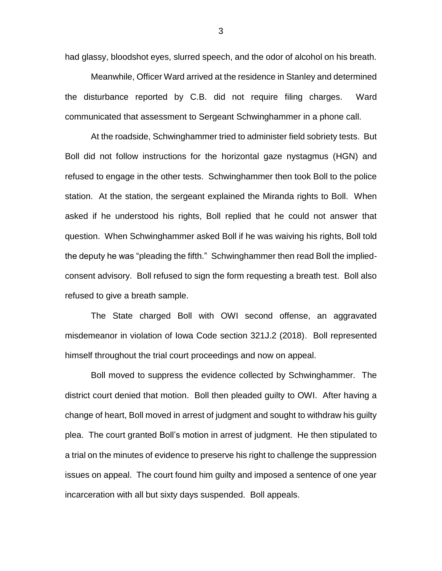had glassy, bloodshot eyes, slurred speech, and the odor of alcohol on his breath.

Meanwhile, Officer Ward arrived at the residence in Stanley and determined the disturbance reported by C.B. did not require filing charges. Ward communicated that assessment to Sergeant Schwinghammer in a phone call.

At the roadside, Schwinghammer tried to administer field sobriety tests. But Boll did not follow instructions for the horizontal gaze nystagmus (HGN) and refused to engage in the other tests. Schwinghammer then took Boll to the police station. At the station, the sergeant explained the Miranda rights to Boll. When asked if he understood his rights, Boll replied that he could not answer that question. When Schwinghammer asked Boll if he was waiving his rights, Boll told the deputy he was "pleading the fifth." Schwinghammer then read Boll the impliedconsent advisory. Boll refused to sign the form requesting a breath test. Boll also refused to give a breath sample.

The State charged Boll with OWI second offense, an aggravated misdemeanor in violation of Iowa Code section 321J.2 (2018). Boll represented himself throughout the trial court proceedings and now on appeal.

Boll moved to suppress the evidence collected by Schwinghammer. The district court denied that motion. Boll then pleaded guilty to OWI. After having a change of heart, Boll moved in arrest of judgment and sought to withdraw his guilty plea. The court granted Boll's motion in arrest of judgment. He then stipulated to a trial on the minutes of evidence to preserve his right to challenge the suppression issues on appeal. The court found him guilty and imposed a sentence of one year incarceration with all but sixty days suspended. Boll appeals.

3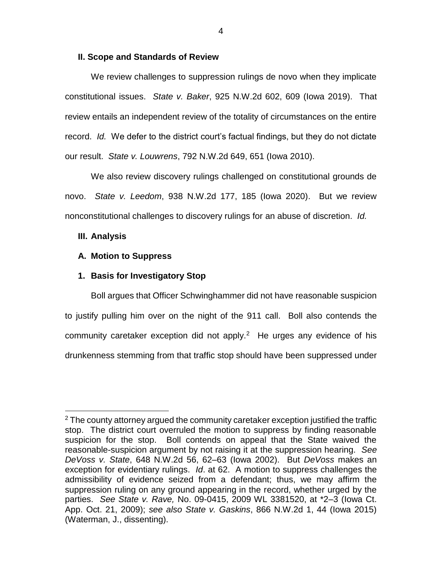### **II. Scope and Standards of Review**

We review challenges to suppression rulings de novo when they implicate constitutional issues. *State v. Baker*, 925 N.W.2d 602, 609 (Iowa 2019). That review entails an independent review of the totality of circumstances on the entire record. *Id.* We defer to the district court's factual findings, but they do not dictate our result. *State v. Louwrens*, 792 N.W.2d 649, 651 (Iowa 2010).

We also review discovery rulings challenged on constitutional grounds de novo. *State v. Leedom*, 938 N.W.2d 177, 185 (Iowa 2020). But we review nonconstitutional challenges to discovery rulings for an abuse of discretion. *Id.*

### **III. Analysis**

 $\overline{a}$ 

## **A. Motion to Suppress**

## **1. Basis for Investigatory Stop**

Boll argues that Officer Schwinghammer did not have reasonable suspicion to justify pulling him over on the night of the 911 call. Boll also contends the community caretaker exception did not apply. $2$  He urges any evidence of his drunkenness stemming from that traffic stop should have been suppressed under

 $2$  The county attorney argued the community caretaker exception justified the traffic stop. The district court overruled the motion to suppress by finding reasonable suspicion for the stop. Boll contends on appeal that the State waived the reasonable-suspicion argument by not raising it at the suppression hearing. *See DeVoss v. State*, 648 N.W.2d 56, 62–63 (Iowa 2002). But *DeVoss* makes an exception for evidentiary rulings. *Id*. at 62. A motion to suppress challenges the admissibility of evidence seized from a defendant; thus, we may affirm the suppression ruling on any ground appearing in the record, whether urged by the parties. *See State v. Rave,* No. 09-0415, 2009 WL 3381520, at \*2–3 (Iowa Ct. App. Oct. 21, 2009); *see also State v. Gaskins*, 866 N.W.2d 1, 44 (Iowa 2015) (Waterman, J., dissenting).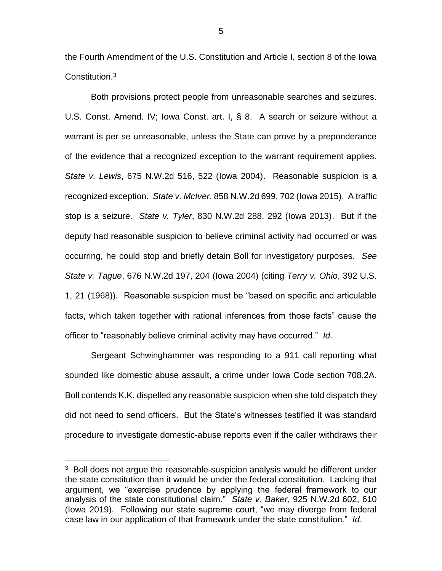the Fourth Amendment of the U.S. Constitution and Article I, section 8 of the Iowa Constitution.<sup>3</sup>

Both provisions protect people from unreasonable searches and seizures. U.S. Const. Amend. IV; Iowa Const. art. I, § 8. A search or seizure without a warrant is per se unreasonable, unless the State can prove by a preponderance of the evidence that a recognized exception to the warrant requirement applies. *State v. Lewis*, 675 N.W.2d 516, 522 (Iowa 2004). Reasonable suspicion is a recognized exception. *State v. McIver*, 858 N.W.2d 699, 702 (Iowa 2015). A traffic stop is a seizure. *State v. Tyler*, 830 N.W.2d 288, 292 (Iowa 2013). But if the deputy had reasonable suspicion to believe criminal activity had occurred or was occurring, he could stop and briefly detain Boll for investigatory purposes. *See State v. Tague*, 676 N.W.2d 197, 204 (Iowa 2004) (citing *Terry v. Ohio*, 392 U.S. 1, 21 (1968)). Reasonable suspicion must be "based on specific and articulable facts, which taken together with rational inferences from those facts" cause the officer to "reasonably believe criminal activity may have occurred." *Id.*

Sergeant Schwinghammer was responding to a 911 call reporting what sounded like domestic abuse assault, a crime under Iowa Code section 708.2A. Boll contends K.K. dispelled any reasonable suspicion when she told dispatch they did not need to send officers. But the State's witnesses testified it was standard procedure to investigate domestic-abuse reports even if the caller withdraws their

 $\overline{a}$ 

5

 $3$  Boll does not argue the reasonable-suspicion analysis would be different under the state constitution than it would be under the federal constitution. Lacking that argument, we "exercise prudence by applying the federal framework to our analysis of the state constitutional claim." *State v. Baker*, 925 N.W.2d 602, 610 (Iowa 2019). Following our state supreme court, "we may diverge from federal case law in our application of that framework under the state constitution." *Id*.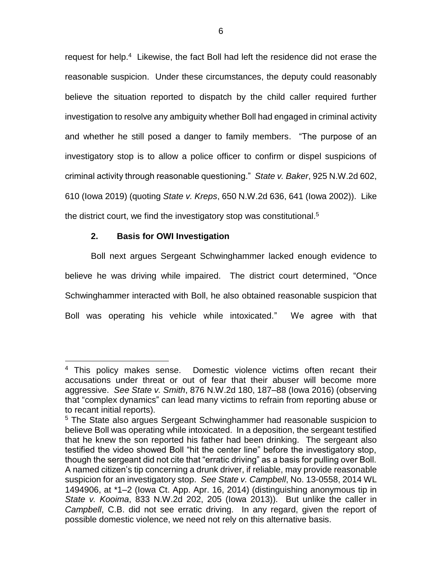request for help.<sup>4</sup> Likewise, the fact Boll had left the residence did not erase the reasonable suspicion. Under these circumstances, the deputy could reasonably believe the situation reported to dispatch by the child caller required further investigation to resolve any ambiguity whether Boll had engaged in criminal activity and whether he still posed a danger to family members. "The purpose of an investigatory stop is to allow a police officer to confirm or dispel suspicions of criminal activity through reasonable questioning." *State v. Baker*, 925 N.W.2d 602, 610 (Iowa 2019) (quoting *State v. Kreps*, 650 N.W.2d 636, 641 (Iowa 2002)). Like the district court, we find the investigatory stop was constitutional.<sup>5</sup>

# **2. Basis for OWI Investigation**

Boll next argues Sergeant Schwinghammer lacked enough evidence to believe he was driving while impaired. The district court determined, "Once Schwinghammer interacted with Boll, he also obtained reasonable suspicion that Boll was operating his vehicle while intoxicated." We agree with that

<sup>&</sup>lt;sup>4</sup> This policy makes sense. Domestic violence victims often recant their accusations under threat or out of fear that their abuser will become more aggressive. *See State v. Smith*, 876 N.W.2d 180, 187–88 (Iowa 2016) (observing that "complex dynamics" can lead many victims to refrain from reporting abuse or to recant initial reports).

<sup>5</sup> The State also argues Sergeant Schwinghammer had reasonable suspicion to believe Boll was operating while intoxicated. In a deposition, the sergeant testified that he knew the son reported his father had been drinking. The sergeant also testified the video showed Boll "hit the center line" before the investigatory stop, though the sergeant did not cite that "erratic driving" as a basis for pulling over Boll. A named citizen's tip concerning a drunk driver, if reliable, may provide reasonable suspicion for an investigatory stop. *See State v. Campbell*, No. 13-0558, 2014 WL 1494906, at \*1–2 (Iowa Ct. App. Apr. 16, 2014) (distinguishing anonymous tip in *State v. Kooima*, 833 N.W.2d 202, 205 (Iowa 2013)). But unlike the caller in *Campbell*, C.B. did not see erratic driving. In any regard, given the report of possible domestic violence, we need not rely on this alternative basis.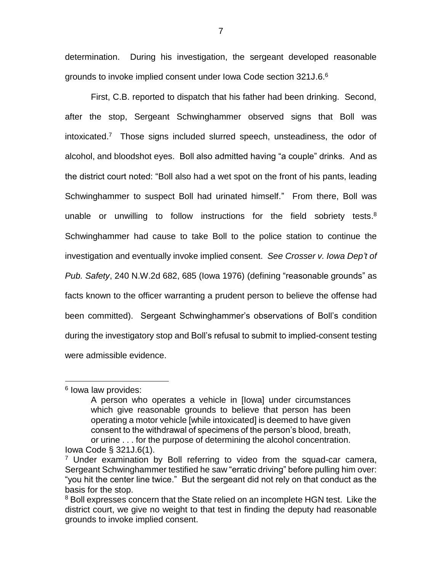determination. During his investigation, the sergeant developed reasonable grounds to invoke implied consent under lowa Code section 321J.6.<sup>6</sup>

First, C.B. reported to dispatch that his father had been drinking. Second, after the stop, Sergeant Schwinghammer observed signs that Boll was intoxicated. 7 Those signs included slurred speech, unsteadiness, the odor of alcohol, and bloodshot eyes. Boll also admitted having "a couple" drinks. And as the district court noted: "Boll also had a wet spot on the front of his pants, leading Schwinghammer to suspect Boll had urinated himself." From there, Boll was unable or unwilling to follow instructions for the field sobriety tests. $8$ Schwinghammer had cause to take Boll to the police station to continue the investigation and eventually invoke implied consent. *See Crosser v. Iowa Dep't of Pub. Safety*, 240 N.W.2d 682, 685 (Iowa 1976) (defining "reasonable grounds" as facts known to the officer warranting a prudent person to believe the offense had been committed). Sergeant Schwinghammer's observations of Boll's condition during the investigatory stop and Boll's refusal to submit to implied-consent testing were admissible evidence.

 $\overline{a}$ 

<sup>&</sup>lt;sup>6</sup> lowa law provides:

A person who operates a vehicle in [Iowa] under circumstances which give reasonable grounds to believe that person has been operating a motor vehicle [while intoxicated] is deemed to have given consent to the withdrawal of specimens of the person's blood, breath, or urine . . . for the purpose of determining the alcohol concentration. Iowa Code § 321J.6(1).

 $7$  Under examination by Boll referring to video from the squad-car camera, Sergeant Schwinghammer testified he saw "erratic driving" before pulling him over: "you hit the center line twice." But the sergeant did not rely on that conduct as the basis for the stop.

<sup>&</sup>lt;sup>8</sup> Boll expresses concern that the State relied on an incomplete HGN test. Like the district court, we give no weight to that test in finding the deputy had reasonable grounds to invoke implied consent.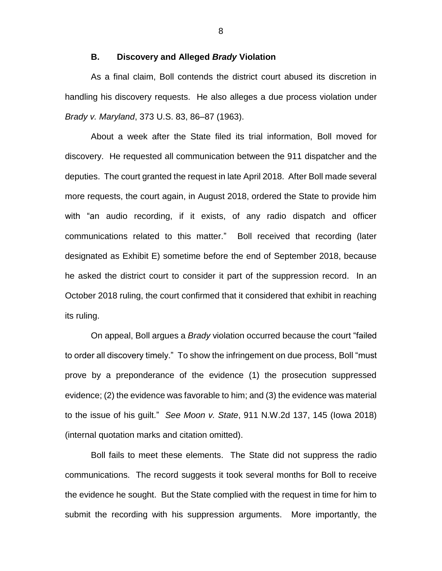### **B. Discovery and Alleged** *Brady* **Violation**

As a final claim, Boll contends the district court abused its discretion in handling his discovery requests. He also alleges a due process violation under *Brady v. Maryland*, 373 U.S. 83, 86–87 (1963).

About a week after the State filed its trial information, Boll moved for discovery. He requested all communication between the 911 dispatcher and the deputies. The court granted the request in late April 2018. After Boll made several more requests, the court again, in August 2018, ordered the State to provide him with "an audio recording, if it exists, of any radio dispatch and officer communications related to this matter." Boll received that recording (later designated as Exhibit E) sometime before the end of September 2018, because he asked the district court to consider it part of the suppression record. In an October 2018 ruling, the court confirmed that it considered that exhibit in reaching its ruling.

On appeal, Boll argues a *Brady* violation occurred because the court "failed to order all discovery timely." To show the infringement on due process, Boll "must prove by a preponderance of the evidence (1) the prosecution suppressed evidence; (2) the evidence was favorable to him; and (3) the evidence was material to the issue of his guilt." *See Moon v. State*, 911 N.W.2d 137, 145 (Iowa 2018) (internal quotation marks and citation omitted).

Boll fails to meet these elements. The State did not suppress the radio communications. The record suggests it took several months for Boll to receive the evidence he sought. But the State complied with the request in time for him to submit the recording with his suppression arguments. More importantly, the

8